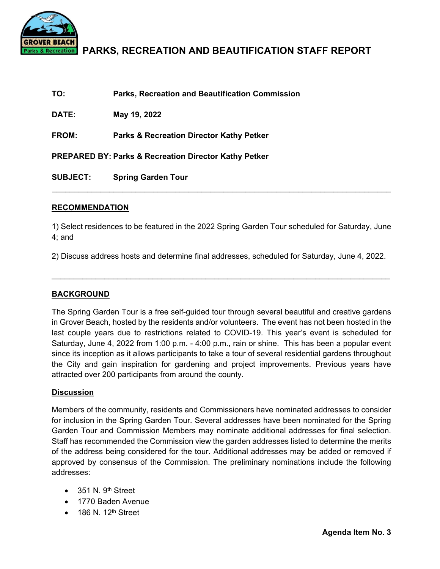

# **PARKS, RECREATION AND BEAUTIFICATION STAFF REPORT**

| TO:             | <b>Parks, Recreation and Beautification Commission</b>           |
|-----------------|------------------------------------------------------------------|
| <b>DATE:</b>    | May 19, 2022                                                     |
| <b>FROM:</b>    | <b>Parks &amp; Recreation Director Kathy Petker</b>              |
|                 | <b>PREPARED BY: Parks &amp; Recreation Director Kathy Petker</b> |
| <b>SUBJECT:</b> | <b>Spring Garden Tour</b>                                        |

## **RECOMMENDATION**

1) Select residences to be featured in the 2022 Spring Garden Tour scheduled for Saturday, June 4; and

2) Discuss address hosts and determine final addresses, scheduled for Saturday, June 4, 2022.

 $\mathcal{L}_\text{max}$  and  $\mathcal{L}_\text{max}$  and  $\mathcal{L}_\text{max}$  and  $\mathcal{L}_\text{max}$  and  $\mathcal{L}_\text{max}$  and  $\mathcal{L}_\text{max}$ 

## **BACKGROUND**

The Spring Garden Tour is a free self-guided tour through several beautiful and creative gardens in Grover Beach, hosted by the residents and/or volunteers. The event has not been hosted in the last couple years due to restrictions related to COVID-19. This year's event is scheduled for Saturday, June 4, 2022 from 1:00 p.m. - 4:00 p.m., rain or shine. This has been a popular event since its inception as it allows participants to take a tour of several residential gardens throughout the City and gain inspiration for gardening and project improvements. Previous years have attracted over 200 participants from around the county.

## **Discussion**

Members of the community, residents and Commissioners have nominated addresses to consider for inclusion in the Spring Garden Tour. Several addresses have been nominated for the Spring Garden Tour and Commission Members may nominate additional addresses for final selection. Staff has recommended the Commission view the garden addresses listed to determine the merits of the address being considered for the tour. Additional addresses may be added or removed if approved by consensus of the Commission. The preliminary nominations include the following addresses:

- $\bullet$  351 N. 9<sup>th</sup> Street
- 1770 Baden Avenue
- $\bullet$  186 N. 12<sup>th</sup> Street